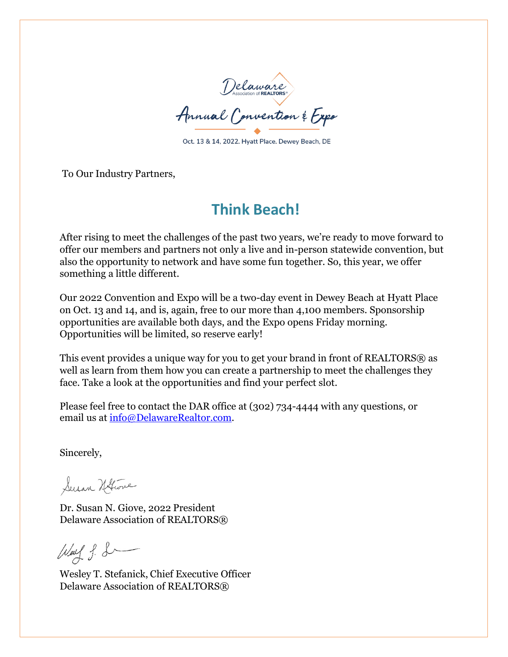

Oct. 13 & 14, 2022. Hyatt Place. Dewey Beach, DE

To Our Industry Partners,

# **Think Beach!**

After rising to meet the challenges of the past two years, we're ready to move forward to offer our members and partners not only a live and in-person statewide convention, but also the opportunity to network and have some fun together. So, this year, we offer something a little different.

Our 2022 Convention and Expo will be a two-day event in Dewey Beach at Hyatt Place on Oct. 13 and 14, and is, again, free to our more than 4,100 members. Sponsorship opportunities are available both days, and the Expo opens Friday morning. Opportunities will be limited, so reserve early!

This event provides a unique way for you to get your brand in front of REALTORS® as well as learn from them how you can create a partnership to meet the challenges they face. Take a look at the opportunities and find your perfect slot.

Please feel free to contact the DAR office at (302) 734-4444 with any questions, or email us at [info@DelawareRealtor.com.](mailto:info@DelawareRealtor.com)

Sincerely,

Susan Hotwie

Dr. Susan N. Giove, 2022 President Delaware Association of REALTORS®

 $W_{\text{ext}}$  f. L

Wesley T. Stefanick, Chief Executive Officer Delaware Association of REALTORS®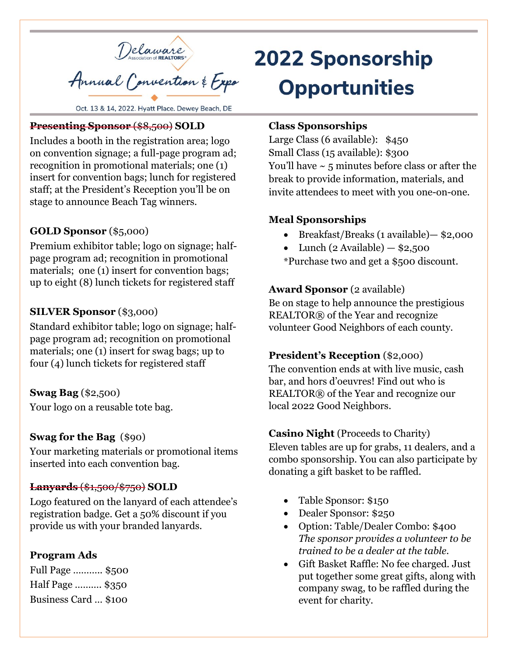

Oct. 13 & 14, 2022. Hyatt Place. Dewey Beach, DE

#### **Presenting Sponsor** (\$8,500) **SOLD**

Includes a booth in the registration area; logo on convention signage; a full-page program ad; recognition in promotional materials; one (1) insert for convention bags; lunch for registered staff; at the President's Reception you'll be on stage to announce Beach Tag winners.

#### **GOLD Sponsor** (\$5,000)

Premium exhibitor table; logo on signage; halfpage program ad; recognition in promotional materials; one (1) insert for convention bags; up to eight (8) lunch tickets for registered staff

#### **SILVER Sponsor** (\$3,000)

Standard exhibitor table; logo on signage; halfpage program ad; recognition on promotional materials; one (1) insert for swag bags; up to four (4) lunch tickets for registered staff

#### **Swag Bag** (\$2,500)

Your logo on a reusable tote bag.

#### **Swag for the Bag** (\$90)

Your marketing materials or promotional items inserted into each convention bag.

#### **Lanyards** (\$1,500/\$750) **SOLD**

Logo featured on the lanyard of each attendee's registration badge. Get a 50% discount if you provide us with your branded lanyards.

#### **Program Ads**

Full Page ……….. \$500 Half Page ………. \$350 Business Card … \$100

# **2022 Sponsorship Opportunities**

#### **Class Sponsorships**

Large Class (6 available): \$450 Small Class (15 available): \$300 You'll have  $\sim$  5 minutes before class or after the break to provide information, materials, and invite attendees to meet with you one-on-one.

#### **Meal Sponsorships**

- Breakfast/Breaks (1 available)— \$2,000
- Lunch (2 Available)  $-$  \$2,500
- \*Purchase two and get a \$500 discount.

#### **Award Sponsor** (2 available)

Be on stage to help announce the prestigious REALTOR® of the Year and recognize volunteer Good Neighbors of each county.

#### **President's Reception** (\$2,000)

The convention ends at with live music, cash bar, and hors d'oeuvres! Find out who is REALTOR® of the Year and recognize our local 2022 Good Neighbors.

#### **Casino Night** (Proceeds to Charity)

Eleven tables are up for grabs, 11 dealers, and a combo sponsorship. You can also participate by donating a gift basket to be raffled.

- Table Sponsor: \$150
- Dealer Sponsor: \$250
- Option: Table/Dealer Combo: \$400 *The sponsor provides a volunteer to be trained to be a dealer at the table.*
- Gift Basket Raffle: No fee charged. Just put together some great gifts, along with company swag, to be raffled during the event for charity.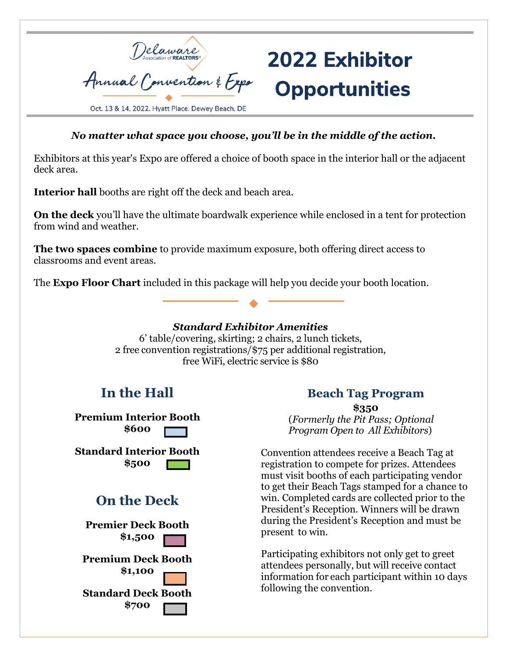

## *No matter what space you choose, you'll be in the middle of the action.*

Exhibitors at this year's Expo are offered a choice of booth space in the interior hall or the adjacent deck area.

**Interior hall** booths are right off the deck and beach area.

**On the deck** you'll have the ultimate boardwalk experience while enclosed in a tent for protection from wind and weather.

**The two spaces combine** to provide maximum exposure, both offering direct access to classrooms and event areas.

The **Expo Floor Chart** included in this package will help you decide your booth location.



6' table/covering, skirting; 2 chairs, 2 lunch tickets, 2 free convention registrations/\$75 per additional registration, free WiFi, electric service is \$80

# **In the Hall**

**Premium Interior Booth \$600**

**Standard Interior Booth \$500**

# **On the Deck**

**Premier Deck Booth \$1,500 Premium Deck Booth \$1,100 Standard Deck Booth**

**\$700**

**Beach Tag Program**

2022 Exhibitor

**Opportunities** 

**\$350** (*Formerly the Pit Pass; Optional Program Open to All Exhibitors*)

Convention attendees receive a Beach Tag at registration to compete for prizes. Attendees must visit booths of each participating vendor to get their Beach Tags stamped for a chance to win. Completed cards are collected prior to the President's Reception. Winners will be drawn during the President's Reception and must be present to win.

Participating exhibitors not only get to greet attendees personally, but will receive contact information for each participant within 10 days following the convention.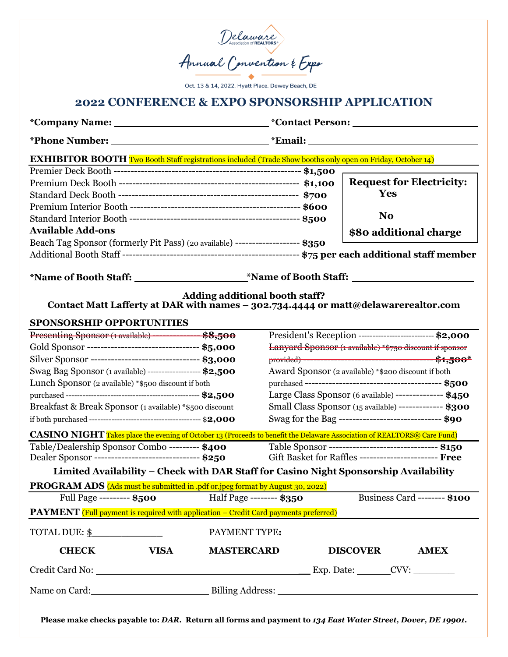

Oct. 13 & 14, 2022. Hyatt Place. Dewey Beach, DE

### **2022 CONFERENCE & EXPO SPONSORSHIP APPLICATION**

| <b>EXHIBITOR BOOTH</b> Two Booth Staff registrations included (Trade Show booths only open on Friday, October 14)           |                          |                                                                 |                                                        |  |
|-----------------------------------------------------------------------------------------------------------------------------|--------------------------|-----------------------------------------------------------------|--------------------------------------------------------|--|
|                                                                                                                             |                          |                                                                 |                                                        |  |
|                                                                                                                             |                          |                                                                 | <b>Request for Electricity:</b>                        |  |
|                                                                                                                             |                          |                                                                 | <b>Yes</b>                                             |  |
|                                                                                                                             |                          |                                                                 |                                                        |  |
|                                                                                                                             |                          |                                                                 | N <sub>o</sub>                                         |  |
| <b>Available Add-ons</b>                                                                                                    |                          |                                                                 | \$80 additional charge                                 |  |
| Beach Tag Sponsor (formerly Pit Pass) (20 available) -------------------- \$350                                             |                          |                                                                 |                                                        |  |
|                                                                                                                             |                          |                                                                 |                                                        |  |
|                                                                                                                             |                          |                                                                 |                                                        |  |
| <b>Adding additional booth staff?</b><br>Contact Matt Lafferty at DAR with names - 302.734.4444 or matt@delawarerealtor.com |                          |                                                                 |                                                        |  |
| <b>SPONSORSHIP OPPORTUNITIES</b>                                                                                            |                          |                                                                 |                                                        |  |
|                                                                                                                             |                          | President's Reception --------------------------------- \$2,000 |                                                        |  |
| Gold Sponsor ---------------------------------- \$5,000                                                                     |                          | Lanyard Sponsor (1 available) *\$750 discount if sponsor        |                                                        |  |
| Silver Sponsor --------------------------------- \$3,000                                                                    |                          |                                                                 |                                                        |  |
| Swag Bag Sponsor (1 available) -------------------- \$2,500                                                                 |                          | Award Sponsor (2 available) *\$200 discount if both             |                                                        |  |
| Lunch Sponsor (2 available) *\$500 discount if both                                                                         |                          |                                                                 |                                                        |  |
|                                                                                                                             |                          |                                                                 | Large Class Sponsor (6 available) -------------- \$450 |  |
| Breakfast & Break Sponsor (1 available) *\$500 discount                                                                     |                          | Small Class Sponsor (15 available) ------------- \$300          |                                                        |  |
|                                                                                                                             |                          | Swag for the Bag ------------------------------- \$90           |                                                        |  |
| CASINO NIGHT Takes place the evening of October 13 (Proceeds to benefit the Delaware Association of REALTORS® Care Fund)    |                          |                                                                 |                                                        |  |
| Table/Dealership Sponsor Combo --------- \$400                                                                              |                          |                                                                 | Table Sponsor ---------------------------------- \$150 |  |
| Dealer Sponsor --------------------------------- \$250                                                                      |                          | Gift Basket for Raffles ------------------------ Free           |                                                        |  |
| Limited Availability - Check with DAR Staff for Casino Night Sponsorship Availability                                       |                          |                                                                 |                                                        |  |
| PROGRAM ADS (Ads must be submitted in .pdf or .jpeg format by August 30, 2022)<br>Full Page --------- $$500$                | Half Page -------- \$350 |                                                                 | Business Card -------- \$100                           |  |
| <b>PAYMENT</b> (Full payment is required with application – Credit Card payments preferred)                                 |                          |                                                                 |                                                        |  |
|                                                                                                                             |                          |                                                                 |                                                        |  |
| TOTAL DUE: \$                                                                                                               | PAYMENT TYPE:            |                                                                 |                                                        |  |
| <b>CHECK</b><br><b>VISA</b>                                                                                                 | <b>MASTERCARD</b>        |                                                                 | <b>DISCOVER</b><br><b>AMEX</b>                         |  |
| Credit Card No: Credit Card No: Credit Card No:                                                                             |                          |                                                                 |                                                        |  |
|                                                                                                                             |                          |                                                                 |                                                        |  |
|                                                                                                                             |                          |                                                                 |                                                        |  |

**Please make checks payable to:** *DAR.* **Return all forms and payment to** *134 East Water Street, Dover, DE 19901.*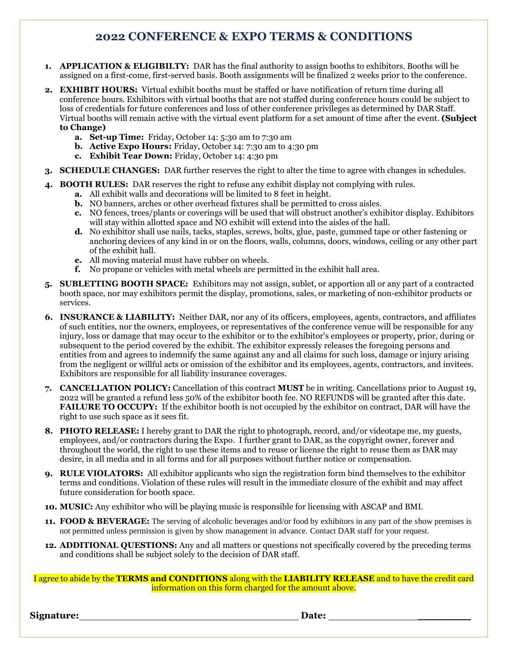## **2022 CONFERENCE & EXPO TERMS & CONDITIONS**

- **1. APPLICATION & ELIGIBILTY:** DAR has the final authority to assign booths to exhibitors. Booths will be assigned on a first-come, first-served basis. Booth assignments will be finalized 2 weeks prior to the conference.
- **2. EXHIBIT HOURS:** Virtual exhibit booths must be staffed or have notification of return time during all conference hours. Exhibitors with virtual booths that are not staffed during conference hours could be subject to loss of credentials for future conferences and loss of other conference privileges as determined by DAR Staff. Virtual booths will remain active with the virtual event platform for a set amount of time after the event. **(Subject to Change)**
	- **a. Set-up Time:** Friday, October 14: 5:30 am to 7:30 am
	- **b. Active Expo Hours:** Friday, October 14: 7:30 am to 4:30 pm
	- **c. Exhibit Tear Down:** Friday, October 14: 4:30 pm
- **3. SCHEDULE CHANGES:** DAR further reserves the right to alter the time to agree with changes in schedules.
- **4. BOOTH RULES:** DAR reserves the right to refuse any exhibit display not complying with rules.
	- **a.** All exhibit walls and decorations will be limited to 8 feet in height.
	- **b.** NO banners, arches or other overhead fixtures shall be permitted to cross aisles.
	- **c.** NO fences, trees/plants or coverings will be used that will obstruct another's exhibitor display. Exhibitors will stay within allotted space and NO exhibit will extend into the aisles of the hall.
	- **d.** No exhibitor shall use nails, tacks, staples, screws, bolts, glue, paste, gummed tape or other fastening or anchoring devices of any kind in or on the floors, walls, columns, doors, windows, ceiling or any other part of the exhibit hall.
	- **e.** All moving material must have rubber on wheels.
	- **f.** No propane or vehicles with metal wheels are permitted in the exhibit hall area.
- **5. SUBLETTING BOOTH SPACE:** Exhibitors may not assign, sublet, or apportion all or any part of a contracted booth space, nor may exhibitors permit the display, promotions, sales, or marketing of non-exhibitor products or services.
- **6. INSURANCE & LIABILITY:** Neither DAR, nor any of its officers, employees, agents, contractors, and affiliates of such entities, nor the owners, employees, or representatives of the conference venue will be responsible for any injury, loss or damage that may occur to the exhibitor or to the exhibitor's employees or property, prior, during or subsequent to the period covered by the exhibit. The exhibitor expressly releases the foregoing persons and entities from and agrees to indemnify the same against any and all claims for such loss, damage or injury arising from the negligent or willful acts or omission of the exhibitor and its employees, agents, contractors, and invitees. Exhibitors are responsible for all liability insurance coverages.
- **7. CANCELLATION POLICY:** Cancellation of this contract **MUST** be in writing. Cancellations prior to August 19, 2022 will be granted a refund less 50% of the exhibitor booth fee. NO REFUNDS will be granted after this date. **FAILURE TO OCCUPY:** If the exhibitor booth is not occupied by the exhibitor on contract, DAR will have the right to use such space as it sees fit.
- **8. PHOTO RELEASE:** I hereby grant to DAR the right to photograph, record, and/or videotape me, my guests, employees, and/or contractors during the Expo. I further grant to DAR, as the copyright owner, forever and throughout the world, the right to use these items and to reuse or license the right to reuse them as DAR may desire, in all media and in all forms and for all purposes without further notice or compensation.
- **9. RULE VIOLATORS:** All exhibitor applicants who sign the registration form bind themselves to the exhibitor terms and conditions. Violation of these rules will result in the immediate closure of the exhibit and may affect future consideration for booth space.
- **10. MUSIC:** Any exhibitor who will be playing music is responsible for licensing with ASCAP and BMI.
- **11. FOOD & BEVERAGE:** The serving of alcoholic beverages and/or food by exhibitors in any part of the show premises is not permitted unless permission is given by show management in advance. Contact DAR staff for your request.
- **12. ADDITIONAL QUESTIONS:** Any and all matters or questions not specifically covered by the preceding terms and conditions shall be subject solely to the decision of DAR staff.

I agree to abide by the **TERMS and CONDITIONS** along with the **LIABILITY RELEASE** and to have the credit card information on this form charged for the amount above.

**Signature: Date:** \_\_\_\_\_\_\_\_\_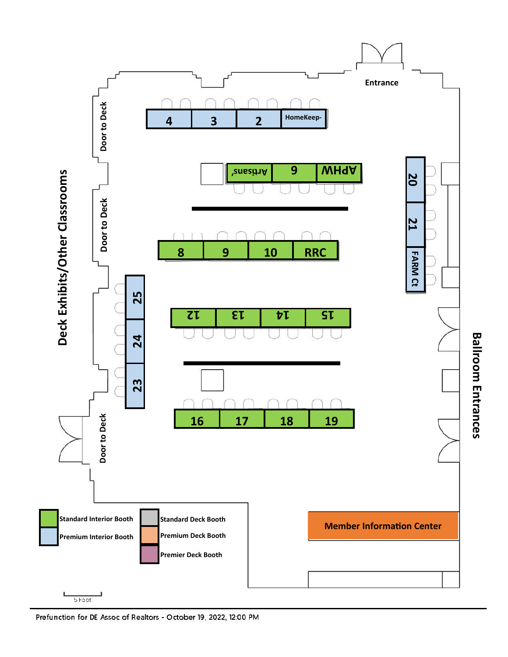

Prefunction for DE Assoc of Realtors - October 19, 2022, 12:00 PM